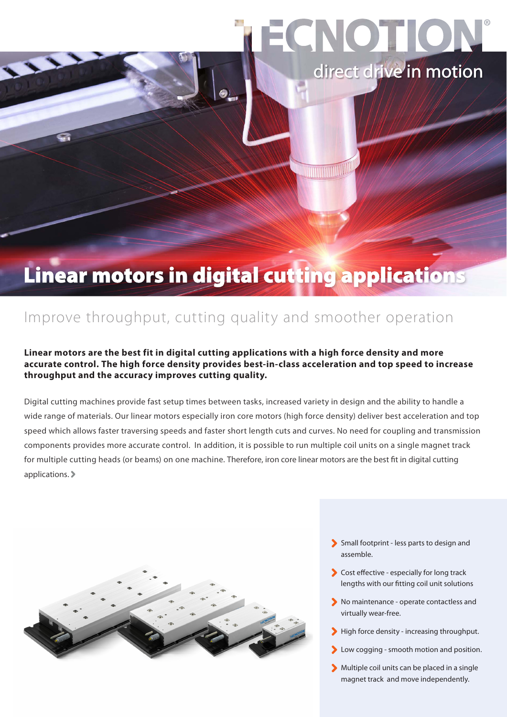# ECNOTION direct drive in motion

<u> IIIIII (MILLILLILL</u>

### Linear motors in digital cutting applications

### Improve throughput, cutting quality and smoother operation

#### **Linear motors are the best fit in digital cutting applications with a high force density and more accurate control. The high force density provides best-in-class acceleration and top speed to increase throughput and the accuracy improves cutting quality.**

Digital cutting machines provide fast setup times between tasks, increased variety in design and the ability to handle a wide range of materials. Our linear motors especially iron core motors (high force density) deliver best acceleration and top speed which allows faster traversing speeds and faster short length cuts and curves. No need for coupling and transmission components provides more accurate control. In addition, it is possible to run multiple coil units on a single magnet track for multiple cutting heads (or beams) on one machine. Therefore, iron core linear motors are the best fit in digital cutting applications.



- Small footprint less parts to design and assemble.
- Cost effective especially for long track lengths with our fitting coil unit solutions
- No maintenance operate contactless and virtually wear-free.
- High force density increasing throughput.
- Low cogging smooth motion and position.
- Multiple coil units can be placed in a single magnet track and move independently.